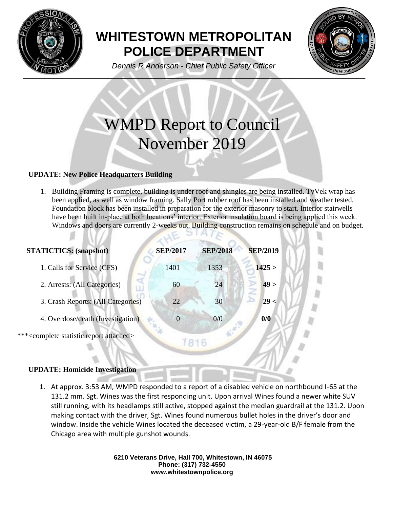

## **WHITESTOWN METROPOLITAN POLICE DEPARTMENT**



*Dennis R Anderson - Chief Public Safety Officer*

# WMPD Report to Council November 2019

## **UPDATE: New Police Headquarters Building**

1. Building Framing is complete, building is under roof and shingles are being installed. TyVek wrap has been applied, as well as window framing. Sally Port rubber roof has been installed and weather tested. Foundation block has been installed in preparation for the exterior masonry to start. Interior stairwells have been built in-place at both locations' interior. Exterior insulation board is being applied this week. Windows and doors are currently 2-weeks out. Building construction remains on schedule and on budget.

| <b>STATICTICS:</b> (snapshot)                                | <b>SEP/2017</b> | <b>SEP/2018</b> | <b>SEP/2019</b> |  |
|--------------------------------------------------------------|-----------------|-----------------|-----------------|--|
| 1. Calls for Service (CFS)                                   | 1401            | 1353            | 1425 >          |  |
| 2. Arrests: (All Categories)                                 | 60              | 24              | 49 >            |  |
| 3. Crash Reports: (All Categories)                           | 22              | 30              | 29 <            |  |
| 4. Overdose/death (Investigation)                            | $\overline{0}$  | 0/0             | 0/0             |  |
| *** <complete attached="" report="" statistic=""></complete> | 1816            |                 |                 |  |
|                                                              |                 |                 |                 |  |
| <b>UPDATE: Homicide Investigation</b>                        |                 |                 |                 |  |

## 1. At approx. 3:53 AM, WMPD responded to a report of a disabled vehicle on northbound I-65 at the 131.2 mm. Sgt. Wines was the first responding unit. Upon arrival Wines found a newer white SUV still running, with its headlamps still active, stopped against the median guardrail at the 131.2. Upon making contact with the driver, Sgt. Wines found numerous bullet holes in the driver's door and window. Inside the vehicle Wines located the deceased victim, a 29-year-old B/F female from the

Chicago area with multiple gunshot wounds.

**6210 Veterans Drive, Hall 700, Whitestown, IN 46075 Phone: (317) 732-4550 www.whitestownpolice.org**